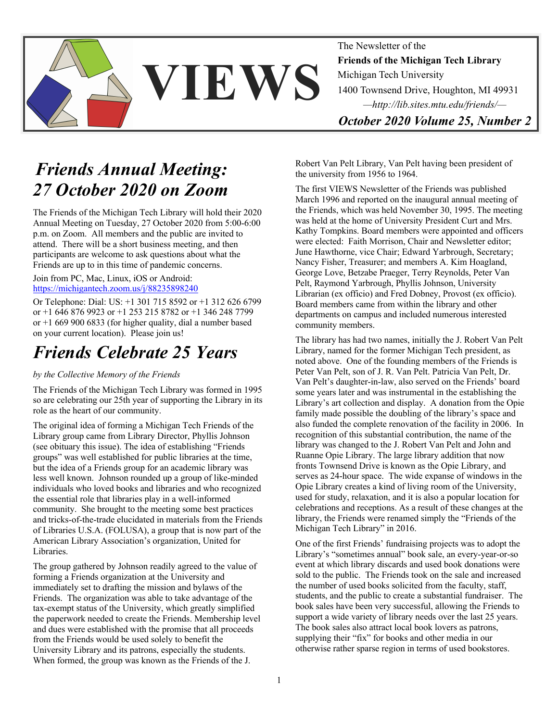

The Newsletter of the **Friends of the Michigan Tech Library** Michigan Tech University 1400 Townsend Drive, Houghton, MI 49931 *—http://lib.sites.mtu.edu/friends/— October 2020 Volume 25, Number 2* 

*Friends Annual Meeting: 27 October 2020 on Zoom*

The Friends of the Michigan Tech Library will hold their 2020 Annual Meeting on Tuesday, 27 October 2020 from 5:00-6:00 p.m. on Zoom. All members and the public are invited to attend. There will be a short business meeting, and then participants are welcome to ask questions about what the Friends are up to in this time of pandemic concerns.

Join from PC, Mac, Linux, iOS or Android: https://michigantech.zoom.us/j/88235898240

Or Telephone: Dial: US: +1 301 715 8592 or +1 312 626 6799 or +1 646 876 9923 or +1 253 215 8782 or +1 346 248 7799 or +1 669 900 6833 (for higher quality, dial a number based on your current location). Please join us!

### *Friends Celebrate 25 Years*

#### *by the Collective Memory of the Friends*

The Friends of the Michigan Tech Library was formed in 1995 so are celebrating our 25th year of supporting the Library in its role as the heart of our community.

The original idea of forming a Michigan Tech Friends of the Library group came from Library Director, Phyllis Johnson (see obituary this issue). The idea of establishing "Friends groups" was well established for public libraries at the time, but the idea of a Friends group for an academic library was less well known. Johnson rounded up a group of like-minded individuals who loved books and libraries and who recognized the essential role that libraries play in a well-informed community. She brought to the meeting some best practices and tricks-of-the-trade elucidated in materials from the Friends of Libraries U.S.A. (FOLUSA), a group that is now part of the American Library Association's organization, United for Libraries.

The group gathered by Johnson readily agreed to the value of forming a Friends organization at the University and immediately set to drafting the mission and bylaws of the Friends. The organization was able to take advantage of the tax-exempt status of the University, which greatly simplified the paperwork needed to create the Friends. Membership level and dues were established with the promise that all proceeds from the Friends would be used solely to benefit the University Library and its patrons, especially the students. When formed, the group was known as the Friends of the J.

Robert Van Pelt Library, Van Pelt having been president of the university from 1956 to 1964.

The first VIEWS Newsletter of the Friends was published March 1996 and reported on the inaugural annual meeting of the Friends, which was held November 30, 1995. The meeting was held at the home of University President Curt and Mrs. Kathy Tompkins. Board members were appointed and officers were elected: Faith Morrison, Chair and Newsletter editor; June Hawthorne, vice Chair; Edward Yarbrough, Secretary; Nancy Fisher, Treasurer; and members A. Kim Hoagland, George Love, Betzabe Praeger, Terry Reynolds, Peter Van Pelt, Raymond Yarbrough, Phyllis Johnson, University Librarian (ex officio) and Fred Dobney, Provost (ex officio). Board members came from within the library and other departments on campus and included numerous interested community members.

The library has had two names, initially the J. Robert Van Pelt Library, named for the former Michigan Tech president, as noted above. One of the founding members of the Friends is Peter Van Pelt, son of J. R. Van Pelt. Patricia Van Pelt, Dr. Van Pelt's daughter-in-law, also served on the Friends' board some years later and was instrumental in the establishing the Library's art collection and display. A donation from the Opie family made possible the doubling of the library's space and also funded the complete renovation of the facility in 2006. In recognition of this substantial contribution, the name of the library was changed to the J. Robert Van Pelt and John and Ruanne Opie Library. The large library addition that now fronts Townsend Drive is known as the Opie Library, and serves as 24-hour space. The wide expanse of windows in the Opie Library creates a kind of living room of the University, used for study, relaxation, and it is also a popular location for celebrations and receptions. As a result of these changes at the library, the Friends were renamed simply the "Friends of the Michigan Tech Library" in 2016.

One of the first Friends' fundraising projects was to adopt the Library's "sometimes annual" book sale, an every-year-or-so event at which library discards and used book donations were sold to the public. The Friends took on the sale and increased the number of used books solicited from the faculty, staff, students, and the public to create a substantial fundraiser. The book sales have been very successful, allowing the Friends to support a wide variety of library needs over the last 25 years. The book sales also attract local book lovers as patrons, supplying their "fix" for books and other media in our otherwise rather sparse region in terms of used bookstores.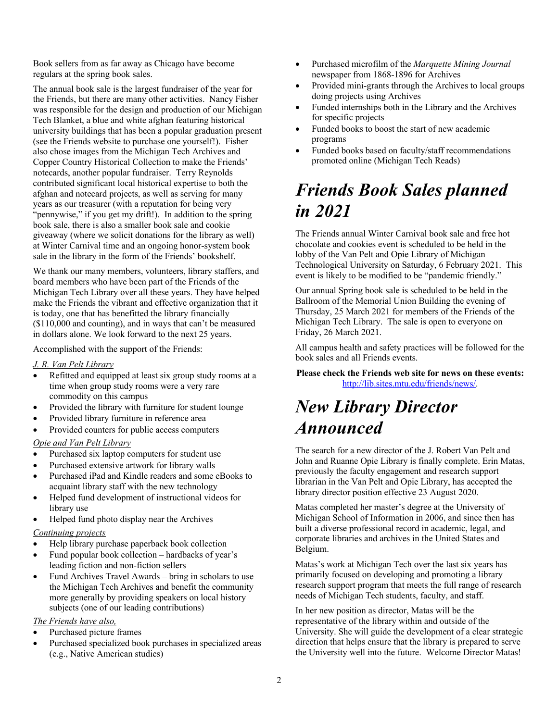Book sellers from as far away as Chicago have become regulars at the spring book sales.

The annual book sale is the largest fundraiser of the year for the Friends, but there are many other activities. Nancy Fisher was responsible for the design and production of our Michigan Tech Blanket, a blue and white afghan featuring historical university buildings that has been a popular graduation present (see the Friends website to purchase one yourself!). Fisher also chose images from the Michigan Tech Archives and Copper Country Historical Collection to make the Friends' notecards, another popular fundraiser. Terry Reynolds contributed significant local historical expertise to both the afghan and notecard projects, as well as serving for many years as our treasurer (with a reputation for being very "pennywise," if you get my drift!). In addition to the spring book sale, there is also a smaller book sale and cookie giveaway (where we solicit donations for the library as well) at Winter Carnival time and an ongoing honor-system book sale in the library in the form of the Friends' bookshelf.

We thank our many members, volunteers, library staffers, and board members who have been part of the Friends of the Michigan Tech Library over all these years. They have helped make the Friends the vibrant and effective organization that it is today, one that has benefitted the library financially (\$110,000 and counting), and in ways that can't be measured in dollars alone. We look forward to the next 25 years.

Accomplished with the support of the Friends:

#### *J. R. Van Pelt Library*

- Refitted and equipped at least six group study rooms at a time when group study rooms were a very rare commodity on this campus
- Provided the library with furniture for student lounge
- Provided library furniture in reference area
- Provided counters for public access computers

#### *Opie and Van Pelt Library*

- Purchased six laptop computers for student use
- Purchased extensive artwork for library walls
- Purchased iPad and Kindle readers and some eBooks to acquaint library staff with the new technology
- Helped fund development of instructional videos for library use
- Helped fund photo display near the Archives

#### *Continuing projects*

- Help library purchase paperback book collection
- Fund popular book collection hardbacks of year's leading fiction and non-fiction sellers
- Fund Archives Travel Awards bring in scholars to use the Michigan Tech Archives and benefit the community more generally by providing speakers on local history subjects (one of our leading contributions)

#### *The Friends have also,*

- Purchased picture frames
- Purchased specialized book purchases in specialized areas (e.g., Native American studies)
- Purchased microfilm of the *Marquette Mining Journal* newspaper from 1868-1896 for Archives
- Provided mini-grants through the Archives to local groups doing projects using Archives
- Funded internships both in the Library and the Archives for specific projects
- Funded books to boost the start of new academic programs
- Funded books based on faculty/staff recommendations promoted online (Michigan Tech Reads)

### *Friends Book Sales planned in 2021*

The Friends annual Winter Carnival book sale and free hot chocolate and cookies event is scheduled to be held in the lobby of the Van Pelt and Opie Library of Michigan Technological University on Saturday, 6 February 2021. This event is likely to be modified to be "pandemic friendly."

Our annual Spring book sale is scheduled to be held in the Ballroom of the Memorial Union Building the evening of Thursday, 25 March 2021 for members of the Friends of the Michigan Tech Library. The sale is open to everyone on Friday, 26 March 2021.

All campus health and safety practices will be followed for the book sales and all Friends events.

**Please check the Friends web site for news on these events:** http://lib.sites.mtu.edu/friends/news/.

### *New Library Director Announced*

The search for a new director of the J. Robert Van Pelt and John and Ruanne Opie Library is finally complete. Erin Matas, previously the faculty engagement and research support librarian in the Van Pelt and Opie Library, has accepted the library director position effective 23 August 2020.

Matas completed her master's degree at the University of Michigan School of Information in 2006, and since then has built a diverse professional record in academic, legal, and corporate libraries and archives in the United States and Belgium.

Matas's work at Michigan Tech over the last six years has primarily focused on developing and promoting a library research support program that meets the full range of research needs of Michigan Tech students, faculty, and staff.

In her new position as director, Matas will be the representative of the library within and outside of the University. She will guide the development of a clear strategic direction that helps ensure that the library is prepared to serve the University well into the future. Welcome Director Matas!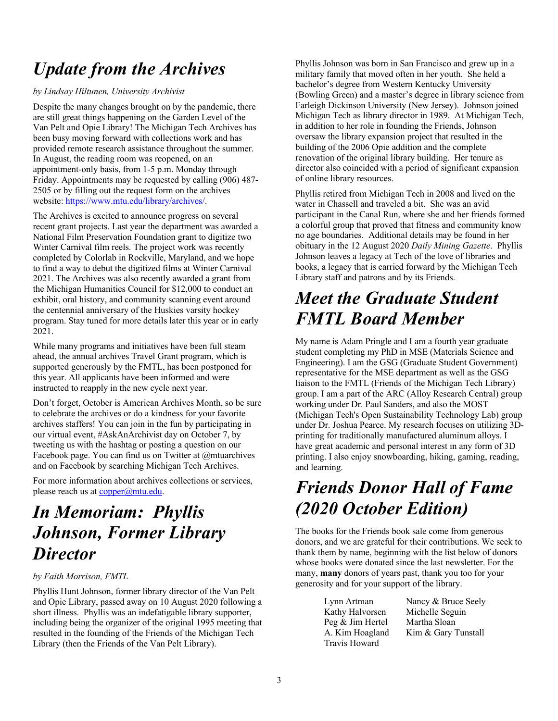# *Update from the Archives*

#### *by Lindsay Hiltunen, University Archivist*

Despite the many changes brought on by the pandemic, there are still great things happening on the Garden Level of the Van Pelt and Opie Library! The Michigan Tech Archives has been busy moving forward with collections work and has provided remote research assistance throughout the summer. In August, the reading room was reopened, on an appointment-only basis, from 1-5 p.m. Monday through Friday. Appointments may be requested by calling (906) 487- 2505 or by filling out the request form on the archives website: https://www.mtu.edu/library/archives/.

The Archives is excited to announce progress on several recent grant projects. Last year the department was awarded a National Film Preservation Foundation grant to digitize two Winter Carnival film reels. The project work was recently completed by Colorlab in Rockville, Maryland, and we hope to find a way to debut the digitized films at Winter Carnival 2021. The Archives was also recently awarded a grant from the Michigan Humanities Council for \$12,000 to conduct an exhibit, oral history, and community scanning event around the centennial anniversary of the Huskies varsity hockey program. Stay tuned for more details later this year or in early 2021.

While many programs and initiatives have been full steam ahead, the annual archives Travel Grant program, which is supported generously by the FMTL, has been postponed for this year. All applicants have been informed and were instructed to reapply in the new cycle next year.

Don't forget, October is American Archives Month, so be sure to celebrate the archives or do a kindness for your favorite archives staffers! You can join in the fun by participating in our virtual event, #AskAnArchivist day on October 7, by tweeting us with the hashtag or posting a question on our Facebook page. You can find us on Twitter at @mtuarchives and on Facebook by searching Michigan Tech Archives.

For more information about archives collections or services, please reach us at copper@mtu.edu.

### *In Memoriam: Phyllis Johnson, Former Library Director*

### *by Faith Morrison, FMTL*

Phyllis Hunt Johnson, former library director of the Van Pelt and Opie Library, passed away on 10 August 2020 following a short illness. Phyllis was an indefatigable library supporter, including being the organizer of the original 1995 meeting that resulted in the founding of the Friends of the Michigan Tech Library (then the Friends of the Van Pelt Library).

Phyllis Johnson was born in San Francisco and grew up in a military family that moved often in her youth. She held a bachelor's degree from Western Kentucky University (Bowling Green) and a master's degree in library science from Farleigh Dickinson University (New Jersey). Johnson joined Michigan Tech as library director in 1989. At Michigan Tech, in addition to her role in founding the Friends, Johnson oversaw the library expansion project that resulted in the building of the 2006 Opie addition and the complete renovation of the original library building. Her tenure as director also coincided with a period of significant expansion of online library resources.

Phyllis retired from Michigan Tech in 2008 and lived on the water in Chassell and traveled a bit. She was an avid participant in the Canal Run, where she and her friends formed a colorful group that proved that fitness and community know no age boundaries. Additional details may be found in her obituary in the 12 August 2020 *Daily Mining Gazette*. Phyllis Johnson leaves a legacy at Tech of the love of libraries and books, a legacy that is carried forward by the Michigan Tech Library staff and patrons and by its Friends.

# *Meet the Graduate Student FMTL Board Member*

My name is Adam Pringle and I am a fourth year graduate student completing my PhD in MSE (Materials Science and Engineering). I am the GSG (Graduate Student Government) representative for the MSE department as well as the GSG liaison to the FMTL (Friends of the Michigan Tech Library) group. I am a part of the ARC (Alloy Research Central) group working under Dr. Paul Sanders, and also the MOST (Michigan Tech's Open Sustainability Technology Lab) group under Dr. Joshua Pearce. My research focuses on utilizing 3Dprinting for traditionally manufactured aluminum alloys. I have great academic and personal interest in any form of 3D printing. I also enjoy snowboarding, hiking, gaming, reading, and learning.

# *Friends Donor Hall of Fame (2020 October Edition)*

The books for the Friends book sale come from generous donors, and we are grateful for their contributions. We seek to thank them by name, beginning with the list below of donors whose books were donated since the last newsletter. For the many, **many** donors of years past, thank you too for your generosity and for your support of the library.

> Kathy Halvorsen Michelle Seguin Peg & Jim Hertel Martha Sloan Travis Howard

Lynn Artman Nancy & Bruce Seely A. Kim Hoagland Kim & Gary Tunstall